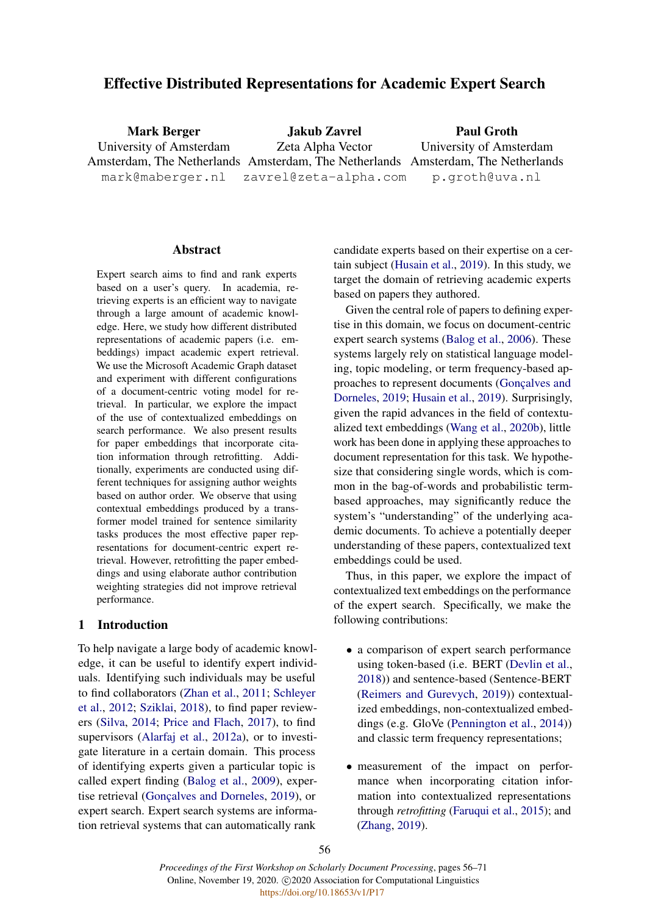## Effective Distributed Representations for Academic Expert Search

Mark Berger University of Amsterdam Amsterdam, The Netherlands Amsterdam, The Netherlands Amsterdam, The Netherlands mark@maberger.nl Jakub Zavrel Zeta Alpha Vector zavrel@zeta-alpha.com Paul Groth University of Amsterdam p.groth@uva.nl

### **Abstract**

Expert search aims to find and rank experts based on a user's query. In academia, retrieving experts is an efficient way to navigate through a large amount of academic knowledge. Here, we study how different distributed representations of academic papers (i.e. embeddings) impact academic expert retrieval. We use the Microsoft Academic Graph dataset and experiment with different configurations of a document-centric voting model for retrieval. In particular, we explore the impact of the use of contextualized embeddings on search performance. We also present results for paper embeddings that incorporate citation information through retrofitting. Additionally, experiments are conducted using different techniques for assigning author weights based on author order. We observe that using contextual embeddings produced by a transformer model trained for sentence similarity tasks produces the most effective paper representations for document-centric expert retrieval. However, retrofitting the paper embeddings and using elaborate author contribution weighting strategies did not improve retrieval performance.

### 1 Introduction

To help navigate a large body of academic knowledge, it can be useful to identify expert individuals. Identifying such individuals may be useful to find collaborators [\(Zhan et al.,](#page-10-0) [2011;](#page-10-0) [Schleyer](#page-10-1) [et al.,](#page-10-1) [2012;](#page-10-1) [Sziklai,](#page-10-2) [2018\)](#page-10-2), to find paper reviewers [\(Silva,](#page-10-3) [2014;](#page-10-3) [Price and Flach,](#page-10-4) [2017\)](#page-10-4), to find supervisors [\(Alarfaj et al.,](#page-8-0) [2012a\)](#page-8-0), or to investigate literature in a certain domain. This process of identifying experts given a particular topic is called expert finding [\(Balog et al.,](#page-8-1) [2009\)](#page-8-1), exper-tise retrieval (Gonçalves and Dorneles, [2019\)](#page-9-0), or expert search. Expert search systems are information retrieval systems that can automatically rank

candidate experts based on their expertise on a certain subject [\(Husain et al.,](#page-9-1) [2019\)](#page-9-1). In this study, we target the domain of retrieving academic experts based on papers they authored.

Given the central role of papers to defining expertise in this domain, we focus on document-centric expert search systems [\(Balog et al.,](#page-8-2) [2006\)](#page-8-2). These systems largely rely on statistical language modeling, topic modeling, or term frequency-based approaches to represent documents (Gonçalves and [Dorneles,](#page-9-0) [2019;](#page-9-0) [Husain et al.,](#page-9-1) [2019\)](#page-9-1). Surprisingly, given the rapid advances in the field of contextualized text embeddings [\(Wang et al.,](#page-10-5) [2020b\)](#page-10-5), little work has been done in applying these approaches to document representation for this task. We hypothesize that considering single words, which is common in the bag-of-words and probabilistic termbased approaches, may significantly reduce the system's "understanding" of the underlying academic documents. To achieve a potentially deeper understanding of these papers, contextualized text embeddings could be used.

Thus, in this paper, we explore the impact of contextualized text embeddings on the performance of the expert search. Specifically, we make the following contributions:

- a comparison of expert search performance using token-based (i.e. BERT [\(Devlin et al.,](#page-9-2) [2018\)](#page-9-2)) and sentence-based (Sentence-BERT [\(Reimers and Gurevych,](#page-10-6) [2019\)](#page-10-6)) contextualized embeddings, non-contextualized embeddings (e.g. GloVe [\(Pennington et al.,](#page-9-3) [2014\)](#page-9-3)) and classic term frequency representations;
- measurement of the impact on performance when incorporating citation information into contextualized representations through *retrofitting* [\(Faruqui et al.,](#page-9-4) [2015\)](#page-9-4); and [\(Zhang,](#page-10-7) [2019\)](#page-10-7).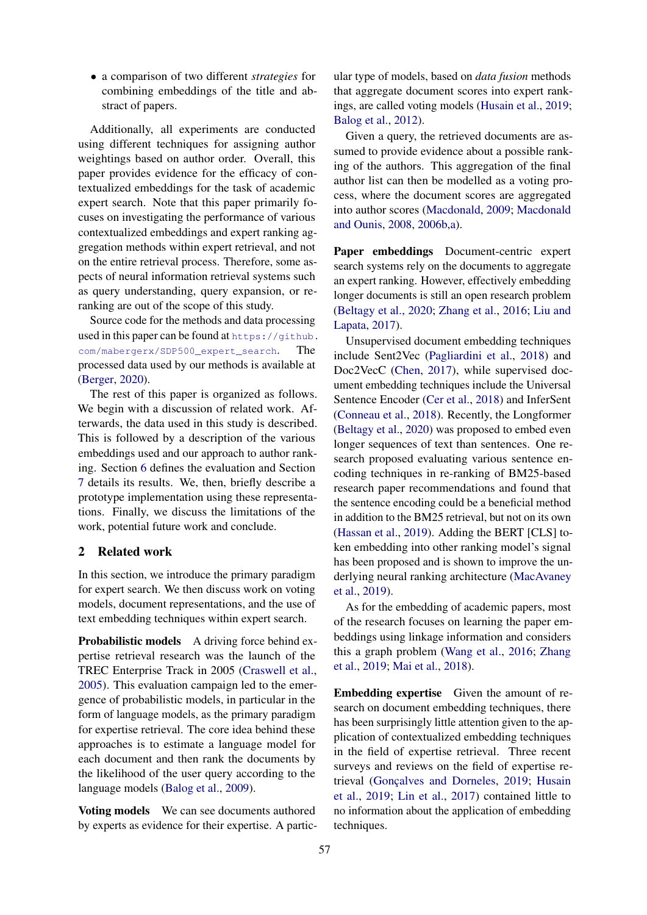• a comparison of two different *strategies* for combining embeddings of the title and abstract of papers.

Additionally, all experiments are conducted using different techniques for assigning author weightings based on author order. Overall, this paper provides evidence for the efficacy of contextualized embeddings for the task of academic expert search. Note that this paper primarily focuses on investigating the performance of various contextualized embeddings and expert ranking aggregation methods within expert retrieval, and not on the entire retrieval process. Therefore, some aspects of neural information retrieval systems such as query understanding, query expansion, or reranking are out of the scope of this study.

Source code for the methods and data processing used in this paper can be found at [https://github.](https://github.com/mabergerx/SDP500_expert_search) [com/mabergerx/SDP500\\_expert\\_search](https://github.com/mabergerx/SDP500_expert_search). The processed data used by our methods is available at [\(Berger,](#page-8-3) [2020\)](#page-8-3).

The rest of this paper is organized as follows. We begin with a discussion of related work. Afterwards, the data used in this study is described. This is followed by a description of the various embeddings used and our approach to author ranking. Section [6](#page-4-0) defines the evaluation and Section [7](#page-5-0) details its results. We, then, briefly describe a prototype implementation using these representations. Finally, we discuss the limitations of the work, potential future work and conclude.

### 2 Related work

In this section, we introduce the primary paradigm for expert search. We then discuss work on voting models, document representations, and the use of text embedding techniques within expert search.

**Probabilistic models** A driving force behind expertise retrieval research was the launch of the TREC Enterprise Track in 2005 [\(Craswell et al.,](#page-9-5) [2005\)](#page-9-5). This evaluation campaign led to the emergence of probabilistic models, in particular in the form of language models, as the primary paradigm for expertise retrieval. The core idea behind these approaches is to estimate a language model for each document and then rank the documents by the likelihood of the user query according to the language models [\(Balog et al.,](#page-8-1) [2009\)](#page-8-1).

Voting models We can see documents authored by experts as evidence for their expertise. A partic-

ular type of models, based on *data fusion* methods that aggregate document scores into expert rankings, are called voting models [\(Husain et al.,](#page-9-1) [2019;](#page-9-1) [Balog et al.,](#page-8-4) [2012\)](#page-8-4).

Given a query, the retrieved documents are assumed to provide evidence about a possible ranking of the authors. This aggregation of the final author list can then be modelled as a voting process, where the document scores are aggregated into author scores [\(Macdonald,](#page-9-6) [2009;](#page-9-6) [Macdonald](#page-9-7) [and Ounis,](#page-9-7) [2008,](#page-9-7) [2006b,](#page-9-8)[a\)](#page-9-9).

Paper embeddings Document-centric expert search systems rely on the documents to aggregate an expert ranking. However, effectively embedding longer documents is still an open research problem [\(Beltagy et al.,](#page-8-5) [2020;](#page-8-5) [Zhang et al.,](#page-10-8) [2016;](#page-10-8) [Liu and](#page-9-10) [Lapata,](#page-9-10) [2017\)](#page-9-10).

Unsupervised document embedding techniques include Sent2Vec [\(Pagliardini et al.,](#page-9-11) [2018\)](#page-9-11) and Doc2VecC [\(Chen,](#page-9-12) [2017\)](#page-9-12), while supervised document embedding techniques include the Universal Sentence Encoder [\(Cer et al.,](#page-8-6) [2018\)](#page-8-6) and InferSent [\(Conneau et al.,](#page-9-13) [2018\)](#page-9-13). Recently, the Longformer [\(Beltagy et al.,](#page-8-5) [2020\)](#page-8-5) was proposed to embed even longer sequences of text than sentences. One research proposed evaluating various sentence encoding techniques in re-ranking of BM25-based research paper recommendations and found that the sentence encoding could be a beneficial method in addition to the BM25 retrieval, but not on its own [\(Hassan et al.,](#page-9-14) [2019\)](#page-9-14). Adding the BERT [CLS] token embedding into other ranking model's signal has been proposed and is shown to improve the underlying neural ranking architecture [\(MacAvaney](#page-9-15) [et al.,](#page-9-15) [2019\)](#page-9-15).

As for the embedding of academic papers, most of the research focuses on learning the paper embeddings using linkage information and considers this a graph problem [\(Wang et al.,](#page-10-9) [2016;](#page-10-9) [Zhang](#page-10-10) [et al.,](#page-10-10) [2019;](#page-10-10) [Mai et al.,](#page-9-16) [2018\)](#page-9-16).

Embedding expertise Given the amount of research on document embedding techniques, there has been surprisingly little attention given to the application of contextualized embedding techniques in the field of expertise retrieval. Three recent surveys and reviews on the field of expertise re-trieval (Gonçalves and Dorneles, [2019;](#page-9-0) [Husain](#page-9-1) [et al.,](#page-9-1) [2019;](#page-9-1) [Lin et al.,](#page-9-17) [2017\)](#page-9-17) contained little to no information about the application of embedding techniques.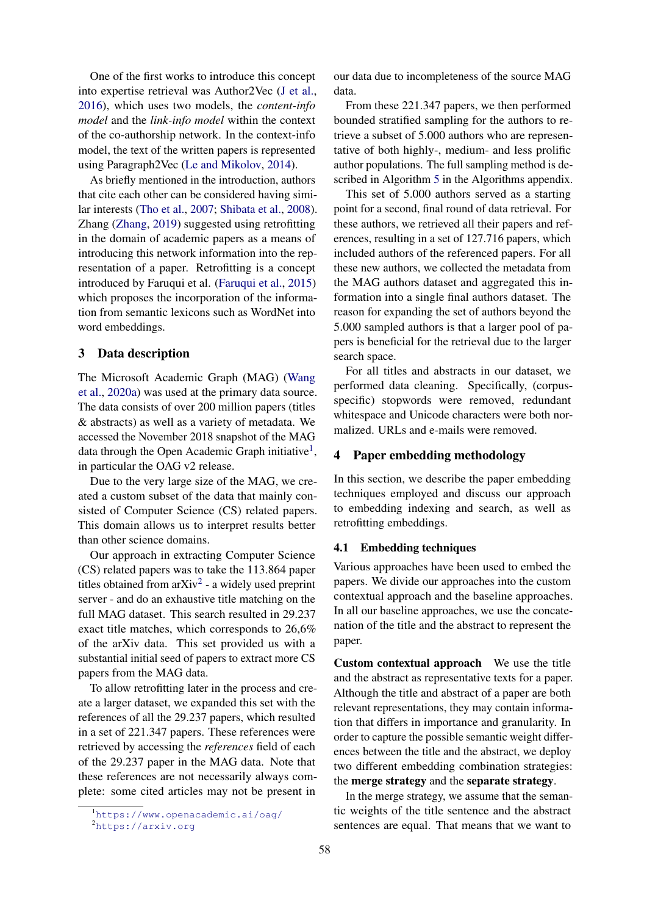One of the first works to introduce this concept into expertise retrieval was Author2Vec [\(J et al.,](#page-9-18) [2016\)](#page-9-18), which uses two models, the *content-info model* and the *link-info model* within the context of the co-authorship network. In the context-info model, the text of the written papers is represented using Paragraph2Vec [\(Le and Mikolov,](#page-9-19) [2014\)](#page-9-19).

As briefly mentioned in the introduction, authors that cite each other can be considered having similar interests [\(Tho et al.,](#page-10-11) [2007;](#page-10-11) [Shibata et al.,](#page-10-12) [2008\)](#page-10-12). Zhang [\(Zhang,](#page-10-7) [2019\)](#page-10-7) suggested using retrofitting in the domain of academic papers as a means of introducing this network information into the representation of a paper. Retrofitting is a concept introduced by Faruqui et al. [\(Faruqui et al.,](#page-9-4) [2015\)](#page-9-4) which proposes the incorporation of the information from semantic lexicons such as WordNet into word embeddings.

### 3 Data description

The Microsoft Academic Graph (MAG) [\(Wang](#page-10-13) [et al.,](#page-10-13) [2020a\)](#page-10-13) was used at the primary data source. The data consists of over 200 million papers (titles & abstracts) as well as a variety of metadata. We accessed the November 2018 snapshot of the MAG data through the Open Academic Graph initiative<sup>[1](#page-2-0)</sup>, in particular the OAG v2 release.

Due to the very large size of the MAG, we created a custom subset of the data that mainly consisted of Computer Science (CS) related papers. This domain allows us to interpret results better than other science domains.

Our approach in extracting Computer Science (CS) related papers was to take the 113.864 paper titles obtained from arXiv<sup>[2](#page-2-1)</sup> - a widely used preprint server - and do an exhaustive title matching on the full MAG dataset. This search resulted in 29.237 exact title matches, which corresponds to 26,6% of the arXiv data. This set provided us with a substantial initial seed of papers to extract more CS papers from the MAG data.

To allow retrofitting later in the process and create a larger dataset, we expanded this set with the references of all the 29.237 papers, which resulted in a set of 221.347 papers. These references were retrieved by accessing the *references* field of each of the 29.237 paper in the MAG data. Note that these references are not necessarily always complete: some cited articles may not be present in

our data due to incompleteness of the source MAG data.

From these 221.347 papers, we then performed bounded stratified sampling for the authors to retrieve a subset of 5.000 authors who are representative of both highly-, medium- and less prolific author populations. The full sampling method is de-scribed in Algorithm [5](#page-14-0) in the Algorithms appendix.

This set of 5.000 authors served as a starting point for a second, final round of data retrieval. For these authors, we retrieved all their papers and references, resulting in a set of 127.716 papers, which included authors of the referenced papers. For all these new authors, we collected the metadata from the MAG authors dataset and aggregated this information into a single final authors dataset. The reason for expanding the set of authors beyond the 5.000 sampled authors is that a larger pool of papers is beneficial for the retrieval due to the larger search space.

For all titles and abstracts in our dataset, we performed data cleaning. Specifically, (corpusspecific) stopwords were removed, redundant whitespace and Unicode characters were both normalized. URLs and e-mails were removed.

# 4 Paper embedding methodology

In this section, we describe the paper embedding techniques employed and discuss our approach to embedding indexing and search, as well as retrofitting embeddings.

## 4.1 Embedding techniques

Various approaches have been used to embed the papers. We divide our approaches into the custom contextual approach and the baseline approaches. In all our baseline approaches, we use the concatenation of the title and the abstract to represent the paper.

Custom contextual approach We use the title and the abstract as representative texts for a paper. Although the title and abstract of a paper are both relevant representations, they may contain information that differs in importance and granularity. In order to capture the possible semantic weight differences between the title and the abstract, we deploy two different embedding combination strategies: the merge strategy and the separate strategy.

In the merge strategy, we assume that the semantic weights of the title sentence and the abstract sentences are equal. That means that we want to

<span id="page-2-0"></span><sup>1</sup><https://www.openacademic.ai/oag/>

<span id="page-2-1"></span><sup>2</sup><https://arxiv.org>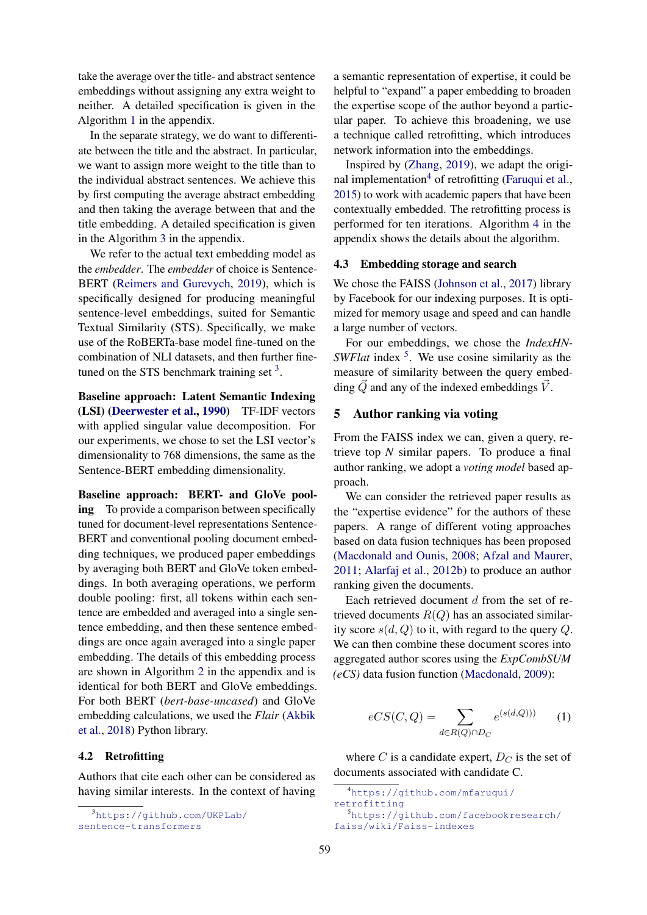take the average over the title- and abstract sentence embeddings without assigning any extra weight to neither. A detailed specification is given in the Algorithm [1](#page-11-0) in the appendix.

In the separate strategy, we do want to differentiate between the title and the abstract. In particular, we want to assign more weight to the title than to the individual abstract sentences. We achieve this by first computing the average abstract embedding and then taking the average between that and the title embedding. A detailed specification is given in the Algorithm [3](#page-12-0) in the appendix.

We refer to the actual text embedding model as the *embedder*. The *embedder* of choice is Sentence-BERT [\(Reimers and Gurevych,](#page-10-6) [2019\)](#page-10-6), which is specifically designed for producing meaningful sentence-level embeddings, suited for Semantic Textual Similarity (STS). Specifically, we make use of the RoBERTa-base model fine-tuned on the combination of NLI datasets, and then further finetuned on the STS benchmark training set  $3$ .

Baseline approach: Latent Semantic Indexing (LSI) [\(Deerwester et al.,](#page-9-20) [1990\)](#page-9-20) TF-IDF vectors with applied singular value decomposition. For our experiments, we chose to set the LSI vector's dimensionality to 768 dimensions, the same as the Sentence-BERT embedding dimensionality.

Baseline approach: BERT- and GloVe pooling To provide a comparison between specifically tuned for document-level representations Sentence-BERT and conventional pooling document embedding techniques, we produced paper embeddings by averaging both BERT and GloVe token embeddings. In both averaging operations, we perform double pooling: first, all tokens within each sentence are embedded and averaged into a single sentence embedding, and then these sentence embeddings are once again averaged into a single paper embedding. The details of this embedding process are shown in Algorithm [2](#page-11-1) in the appendix and is identical for both BERT and GloVe embeddings. For both BERT (*bert-base-uncased*) and GloVe embedding calculations, we used the *Flair* [\(Akbik](#page-8-7) [et al.,](#page-8-7) [2018\)](#page-8-7) Python library.

#### 4.2 Retrofitting

Authors that cite each other can be considered as having similar interests. In the context of having

<span id="page-3-0"></span><sup>3</sup>[https://github.com/UKPLab/](https://github.com/UKPLab/sentence-transformers) [sentence-transformers](https://github.com/UKPLab/sentence-transformers)

a semantic representation of expertise, it could be helpful to "expand" a paper embedding to broaden the expertise scope of the author beyond a particular paper. To achieve this broadening, we use a technique called retrofitting, which introduces network information into the embeddings.

Inspired by [\(Zhang,](#page-10-7) [2019\)](#page-10-7), we adapt the origi-nal implementation<sup>[4](#page-3-1)</sup> of retrofitting [\(Faruqui et al.,](#page-9-4) [2015\)](#page-9-4) to work with academic papers that have been contextually embedded. The retrofitting process is performed for ten iterations. Algorithm [4](#page-13-0) in the appendix shows the details about the algorithm.

#### 4.3 Embedding storage and search

We chose the FAISS [\(Johnson et al.,](#page-9-21) [2017\)](#page-9-21) library by Facebook for our indexing purposes. It is optimized for memory usage and speed and can handle a large number of vectors.

For our embeddings, we chose the *IndexHN-SWFlat* index <sup>[5](#page-3-2)</sup>. We use cosine similarity as the measure of similarity between the query embedding  $\dot{Q}$  and any of the indexed embeddings  $\dot{V}$ .

### 5 Author ranking via voting

From the FAISS index we can, given a query, retrieve top *N* similar papers. To produce a final author ranking, we adopt a *voting model* based approach.

We can consider the retrieved paper results as the "expertise evidence" for the authors of these papers. A range of different voting approaches based on data fusion techniques has been proposed [\(Macdonald and Ounis,](#page-9-7) [2008;](#page-9-7) [Afzal and Maurer,](#page-8-8) [2011;](#page-8-8) [Alarfaj et al.,](#page-8-9) [2012b\)](#page-8-9) to produce an author ranking given the documents.

Each retrieved document d from the set of retrieved documents  $R(Q)$  has an associated similarity score  $s(d, Q)$  to it, with regard to the query Q. We can then combine these document scores into aggregated author scores using the *ExpCombSUM (eCS)* data fusion function [\(Macdonald,](#page-9-6) [2009\)](#page-9-6):

$$
eCS(C,Q) = \sum_{d \in R(Q) \cap D_C} e^{(s(d,Q)))} \qquad (1)
$$

where C is a candidate expert,  $D_C$  is the set of documents associated with candidate C.

<span id="page-3-2"></span><span id="page-3-1"></span><sup>4</sup>[https://github.com/mfaruqui/](https://github.com/mfaruqui/retrofitting) [retrofitting](https://github.com/mfaruqui/retrofitting) <sup>5</sup>[https://github.com/facebookresearch/](https://github.com/facebookresearch/faiss/wiki/Faiss-indexes) [faiss/wiki/Faiss-indexes](https://github.com/facebookresearch/faiss/wiki/Faiss-indexes)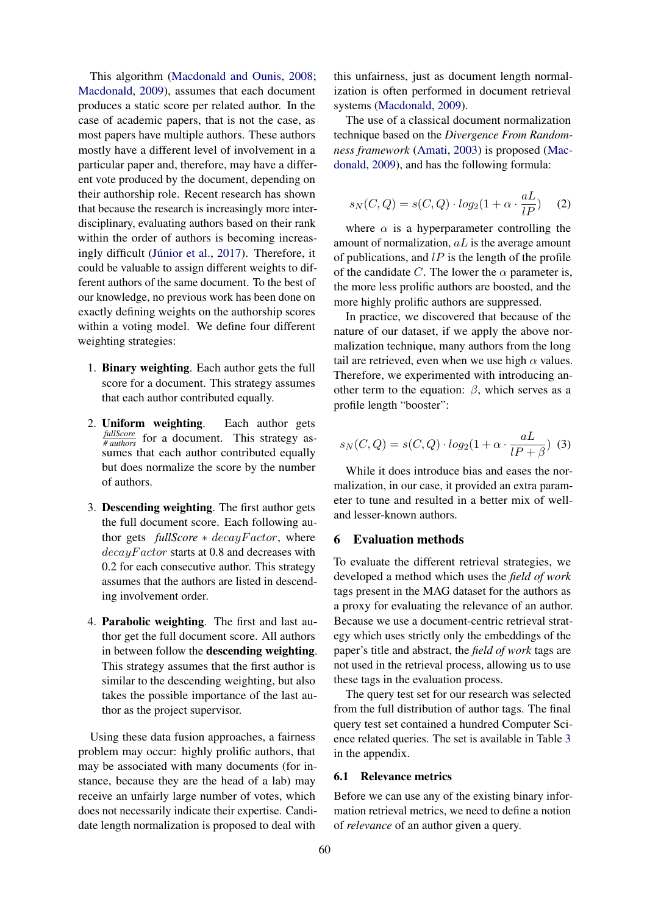This algorithm [\(Macdonald and Ounis,](#page-9-7) [2008;](#page-9-7) [Macdonald,](#page-9-6) [2009\)](#page-9-6), assumes that each document produces a static score per related author. In the case of academic papers, that is not the case, as most papers have multiple authors. These authors mostly have a different level of involvement in a particular paper and, therefore, may have a different vote produced by the document, depending on their authorship role. Recent research has shown that because the research is increasingly more interdisciplinary, evaluating authors based on their rank within the order of authors is becoming increas-ingly difficult (Júnior et al., [2017\)](#page-9-22). Therefore, it could be valuable to assign different weights to different authors of the same document. To the best of our knowledge, no previous work has been done on exactly defining weights on the authorship scores within a voting model. We define four different weighting strategies:

- 1. Binary weighting. Each author gets the full score for a document. This strategy assumes that each author contributed equally.
- 2. Uniform weighting. Each author gets *fullScore # authors* for a document. This strategy assumes that each author contributed equally but does normalize the score by the number of authors.
- 3. Descending weighting. The first author gets the full document score. Each following author gets *fullScore* ∗ decayF actor, where  $decayFactor$  starts at 0.8 and decreases with 0.2 for each consecutive author. This strategy assumes that the authors are listed in descending involvement order.
- 4. Parabolic weighting. The first and last author get the full document score. All authors in between follow the descending weighting. This strategy assumes that the first author is similar to the descending weighting, but also takes the possible importance of the last author as the project supervisor.

Using these data fusion approaches, a fairness problem may occur: highly prolific authors, that may be associated with many documents (for instance, because they are the head of a lab) may receive an unfairly large number of votes, which does not necessarily indicate their expertise. Candidate length normalization is proposed to deal with this unfairness, just as document length normalization is often performed in document retrieval systems [\(Macdonald,](#page-9-6) [2009\)](#page-9-6).

The use of a classical document normalization technique based on the *Divergence From Randomness framework* [\(Amati,](#page-8-10) [2003\)](#page-8-10) is proposed [\(Mac](#page-9-6)[donald,](#page-9-6) [2009\)](#page-9-6), and has the following formula:

$$
s_N(C,Q) = s(C,Q) \cdot log_2(1 + \alpha \cdot \frac{aL}{lP}) \quad (2)
$$

where  $\alpha$  is a hyperparameter controlling the amount of normalization,  $aL$  is the average amount of publications, and  $lP$  is the length of the profile of the candidate C. The lower the  $\alpha$  parameter is, the more less prolific authors are boosted, and the more highly prolific authors are suppressed.

In practice, we discovered that because of the nature of our dataset, if we apply the above normalization technique, many authors from the long tail are retrieved, even when we use high  $\alpha$  values. Therefore, we experimented with introducing another term to the equation:  $\beta$ , which serves as a profile length "booster":

$$
s_N(C,Q) = s(C,Q) \cdot log_2(1 + \alpha \cdot \frac{aL}{lP + \beta}) \tag{3}
$$

While it does introduce bias and eases the normalization, in our case, it provided an extra parameter to tune and resulted in a better mix of welland lesser-known authors.

#### <span id="page-4-0"></span>6 Evaluation methods

To evaluate the different retrieval strategies, we developed a method which uses the *field of work* tags present in the MAG dataset for the authors as a proxy for evaluating the relevance of an author. Because we use a document-centric retrieval strategy which uses strictly only the embeddings of the paper's title and abstract, the *field of work* tags are not used in the retrieval process, allowing us to use these tags in the evaluation process.

The query test set for our research was selected from the full distribution of author tags. The final query test set contained a hundred Computer Science related queries. The set is available in Table [3](#page-15-0) in the appendix.

#### 6.1 Relevance metrics

Before we can use any of the existing binary information retrieval metrics, we need to define a notion of *relevance* of an author given a query.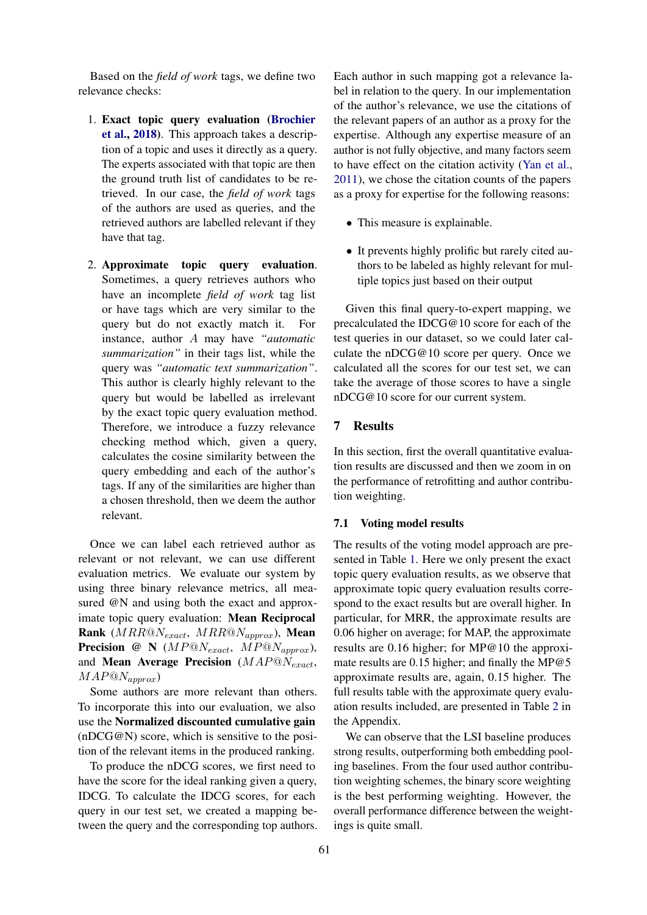Based on the *field of work* tags, we define two relevance checks:

- 1. Exact topic query evaluation [\(Brochier](#page-8-11) [et al.,](#page-8-11) [2018\)](#page-8-11). This approach takes a description of a topic and uses it directly as a query. The experts associated with that topic are then the ground truth list of candidates to be retrieved. In our case, the *field of work* tags of the authors are used as queries, and the retrieved authors are labelled relevant if they have that tag.
- 2. Approximate topic query evaluation. Sometimes, a query retrieves authors who have an incomplete *field of work* tag list or have tags which are very similar to the query but do not exactly match it. For instance, author A may have *"automatic summarization"* in their tags list, while the query was *"automatic text summarization"*. This author is clearly highly relevant to the query but would be labelled as irrelevant by the exact topic query evaluation method. Therefore, we introduce a fuzzy relevance checking method which, given a query, calculates the cosine similarity between the query embedding and each of the author's tags. If any of the similarities are higher than a chosen threshold, then we deem the author relevant.

Once we can label each retrieved author as relevant or not relevant, we can use different evaluation metrics. We evaluate our system by using three binary relevance metrics, all measured @N and using both the exact and approximate topic query evaluation: Mean Reciprocal Rank ( $MRR@N_{exact}$ ,  $MRR@N_{approx}$ ), Mean **Precision** @ N ( $MP@N_{exact}$ ,  $MP@N_{approx}$ ), and **Mean Average Precision** ( $MAP@N_{exact}$ ,  $MAP@N_{approx}$ 

Some authors are more relevant than others. To incorporate this into our evaluation, we also use the Normalized discounted cumulative gain (nDCG@N) score, which is sensitive to the position of the relevant items in the produced ranking.

To produce the nDCG scores, we first need to have the score for the ideal ranking given a query, IDCG. To calculate the IDCG scores, for each query in our test set, we created a mapping between the query and the corresponding top authors.

Each author in such mapping got a relevance label in relation to the query. In our implementation of the author's relevance, we use the citations of the relevant papers of an author as a proxy for the expertise. Although any expertise measure of an author is not fully objective, and many factors seem to have effect on the citation activity [\(Yan et al.,](#page-10-14) [2011\)](#page-10-14), we chose the citation counts of the papers as a proxy for expertise for the following reasons:

- This measure is explainable.
- It prevents highly prolific but rarely cited authors to be labeled as highly relevant for multiple topics just based on their output

Given this final query-to-expert mapping, we precalculated the IDCG@10 score for each of the test queries in our dataset, so we could later calculate the nDCG@10 score per query. Once we calculated all the scores for our test set, we can take the average of those scores to have a single nDCG@10 score for our current system.

### <span id="page-5-0"></span>7 Results

In this section, first the overall quantitative evaluation results are discussed and then we zoom in on the performance of retrofitting and author contribution weighting.

### 7.1 Voting model results

The results of the voting model approach are presented in Table [1.](#page-6-0) Here we only present the exact topic query evaluation results, as we observe that approximate topic query evaluation results correspond to the exact results but are overall higher. In particular, for MRR, the approximate results are 0.06 higher on average; for MAP, the approximate results are 0.16 higher; for MP@10 the approximate results are 0.15 higher; and finally the MP@5 approximate results are, again, 0.15 higher. The full results table with the approximate query evaluation results included, are presented in Table [2](#page-15-1) in the Appendix.

We can observe that the LSI baseline produces strong results, outperforming both embedding pooling baselines. From the four used author contribution weighting schemes, the binary score weighting is the best performing weighting. However, the overall performance difference between the weightings is quite small.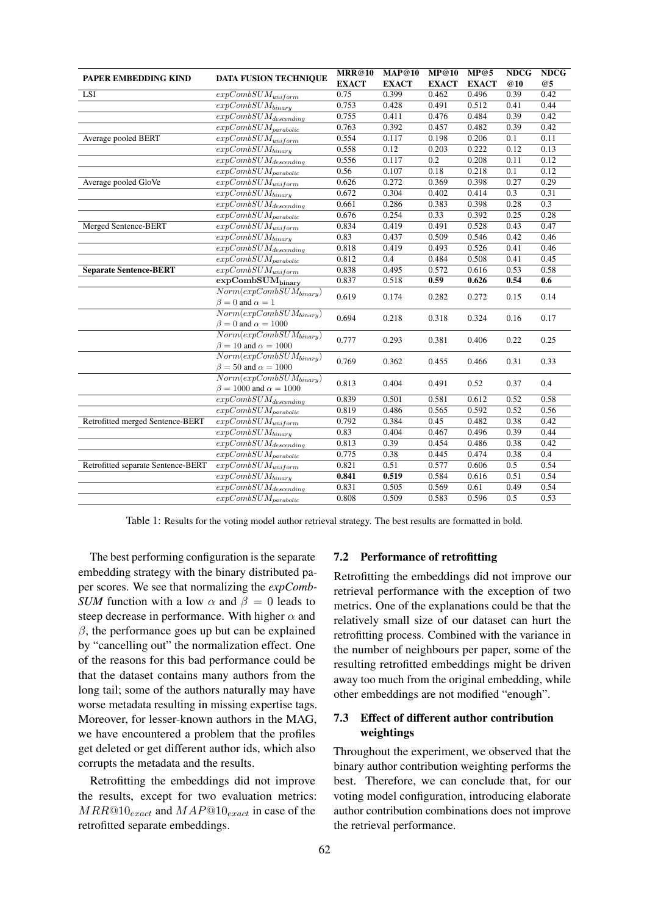<span id="page-6-0"></span>

| PAPER EMBEDDING KIND               | <b>DATA FUSION TECHNIQUE</b>                                                 | <b>MRR@10</b> | <b>MAP@10</b> | MP@10        | MP@5         | <b>NDCG</b> | <b>NDCG</b> |
|------------------------------------|------------------------------------------------------------------------------|---------------|---------------|--------------|--------------|-------------|-------------|
|                                    |                                                                              | <b>EXACT</b>  | <b>EXACT</b>  | <b>EXACT</b> | <b>EXACT</b> | <b>@10</b>  | @5          |
| LSI                                | $expCombSUM_{uniform}$                                                       | 0.75          | 0.399         | 0.462        | 0.496        | 0.39        | 0.42        |
|                                    | $\overline{expCombSUM_{binary}}$                                             | 0.753         | 0.428         | 0.491        | 0.512        | 0.41        | 0.44        |
|                                    | $\overline{expCombSUM}_{descending}$                                         | 0.755         | 0.411         | 0.476        | 0.484        | 0.39        | 0.42        |
|                                    | $\overline{expComb}SUM_{parabolic}$                                          | 0.763         | 0.392         | 0.457        | 0.482        | 0.39        | 0.42        |
| Average pooled BERT                | $\overline{expCombS}UM_{uniform}$                                            | 0.554         | 0.117         | 0.198        | 0.206        | 0.1         | 0.11        |
|                                    | $\overline{expCombSU}M_{binary}$                                             | 0.558         | 0.12          | 0.203        | 0.222        | 0.12        | 0.13        |
|                                    | $\overline{expCombSU}M_{descending}$                                         | 0.556         | 0.117         | 0.2          | 0.208        | 0.11        | 0.12        |
|                                    | $\overline{expCombS} UN_{parabolic}$                                         | 0.56          | 0.107         | 0.18         | 0.218        | 0.1         | 0.12        |
| Average pooled GloVe               | $\overline{expCombSUM}_{uniform}$                                            | 0.626         | 0.272         | 0.369        | 0.398        | 0.27        | 0.29        |
|                                    | $\overline{expCombSUM_{binary}}$                                             | 0.672         | 0.304         | 0.402        | 0.414        | 0.3         | 0.31        |
|                                    | $\overline{expCombSUM}_{descending}$                                         | 0.661         | 0.286         | 0.383        | 0.398        | 0.28        | 0.3         |
|                                    | $expCombSUM_{parabolic}$                                                     | 0.676         | 0.254         | 0.33         | 0.392        | 0.25        | 0.28        |
| Merged Sentence-BERT               | $\overline{expCombSUM_{uniform}}$                                            | 0.834         | 0.419         | 0.491        | 0.528        | 0.43        | 0.47        |
|                                    | $\overline{expCombSUM_{binary}}$                                             | 0.83          | 0.437         | 0.509        | 0.546        | 0.42        | 0.46        |
|                                    | $expCombSUM_{descending}$                                                    | 0.818         | 0.419         | 0.493        | 0.526        | 0.41        | 0.46        |
|                                    | $\overline{expCombSUM}_{parabolic}$                                          | 0.812         | 0.4           | 0.484        | 0.508        | 0.41        | 0.45        |
| <b>Separate Sentence-BERT</b>      | $\overline{expCombSUM}_{uniform}$                                            | 0.838         | 0.495         | 0.572        | 0.616        | 0.53        | 0.58        |
|                                    | $\overline{\text{expCombSUM}}_{\text{binary}}$                               | 0.837         | 0.518         | 0.59         | 0.626        | 0.54        | 0.6         |
|                                    | $Norm(expComb SUM_{binary})$<br>$\beta = 0$ and $\alpha = 1$                 | 0.619         | 0.174         | 0.282        | 0.272        | 0.15        | 0.14        |
|                                    | $Norm(expComb SU M_{binary})$                                                |               |               |              |              |             |             |
|                                    | $\beta = 0$ and $\alpha = 1000$                                              | 0.694         | 0.218         | 0.318        | 0.324        | 0.16        | 0.17        |
|                                    | $Norm(expComb SU M_{binary})$<br>$\beta = 10$ and $\alpha = 1000$            | 0.777         | 0.293         | 0.381        | 0.406        | 0.22        | 0.25        |
|                                    | $\overline{Norm(expCombSUM_{binary})}$                                       |               |               |              |              |             |             |
|                                    | $\beta = 50$ and $\alpha = 1000$                                             | 0.769         | 0.362         | 0.455        | 0.466        | 0.31        | 0.33        |
|                                    | $\overline{Norm(expCombSUM_{binary})}$<br>$\beta = 1000$ and $\alpha = 1000$ | 0.813         | 0.404         | 0.491        | 0.52         | 0.37        | 0.4         |
|                                    | $\overline{expCombSU}M_{descending}$                                         | 0.839         | 0.501         | 0.581        | 0.612        | 0.52        | 0.58        |
|                                    | $expComb SUM_{parabolic}$                                                    | 0.819         | 0.486         | 0.565        | 0.592        | 0.52        | 0.56        |
| Retrofitted merged Sentence-BERT   | $\overline{expCombSUM}_{uniform}$                                            | 0.792         | 0.384         | 0.45         | 0.482        | 0.38        | 0.42        |
|                                    | $\overline{expCombSUM}_{binary}$                                             | 0.83          | 0.404         | 0.467        | 0.496        | 0.39        | 0.44        |
|                                    | $\overline{expCombSUM_{descending}}$                                         | 0.813         | 0.39          | 0.454        | 0.486        | 0.38        | 0.42        |
|                                    | $\overline{expCombSU}M_{parabolic}$                                          | 0.775         | 0.38          | 0.445        | 0.474        | 0.38        | 0.4         |
| Retrofitted separate Sentence-BERT | $\overline{expCombSUM}_{uniform}$                                            | 0.821         | 0.51          | 0.577        | 0.606        | 0.5         | 0.54        |
|                                    | $\overline{expComb}SUM_{binary}$                                             | 0.841         | 0.519         | 0.584        | 0.616        | 0.51        | 0.54        |
|                                    | $\overline{expCombS}$ <i>UM</i> <sub>descending</sub>                        | 0.831         | 0.505         | 0.569        | 0.61         | 0.49        | 0.54        |
|                                    | $\overline{expCombS} UN_{parabolic}$                                         | 0.808         | 0.509         | 0.583        | 0.596        | 0.5         | 0.53        |

Table 1: Results for the voting model author retrieval strategy. The best results are formatted in bold.

The best performing configuration is the separate embedding strategy with the binary distributed paper scores. We see that normalizing the *expComb-SUM* function with a low  $\alpha$  and  $\beta = 0$  leads to steep decrease in performance. With higher  $\alpha$  and  $\beta$ , the performance goes up but can be explained by "cancelling out" the normalization effect. One of the reasons for this bad performance could be that the dataset contains many authors from the long tail; some of the authors naturally may have worse metadata resulting in missing expertise tags. Moreover, for lesser-known authors in the MAG, we have encountered a problem that the profiles get deleted or get different author ids, which also corrupts the metadata and the results.

Retrofitting the embeddings did not improve the results, except for two evaluation metrics:  $MRR@10_{exact}$  and  $MAP@10_{exact}$  in case of the retrofitted separate embeddings.

#### 7.2 Performance of retrofitting

Retrofitting the embeddings did not improve our retrieval performance with the exception of two metrics. One of the explanations could be that the relatively small size of our dataset can hurt the retrofitting process. Combined with the variance in the number of neighbours per paper, some of the resulting retrofitted embeddings might be driven away too much from the original embedding, while other embeddings are not modified "enough".

### 7.3 Effect of different author contribution weightings

Throughout the experiment, we observed that the binary author contribution weighting performs the best. Therefore, we can conclude that, for our voting model configuration, introducing elaborate author contribution combinations does not improve the retrieval performance.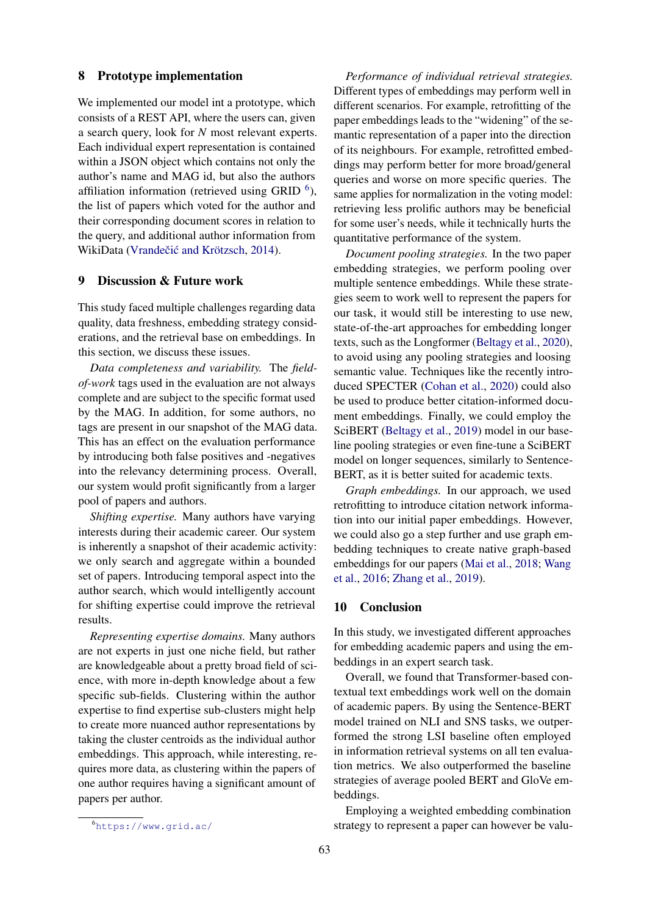#### 8 Prototype implementation

We implemented our model int a prototype, which consists of a REST API, where the users can, given a search query, look for *N* most relevant experts. Each individual expert representation is contained within a JSON object which contains not only the author's name and MAG id, but also the authors affiliation information (retrieved using GRID  $<sup>6</sup>$  $<sup>6</sup>$  $<sup>6</sup>$ ),</sup> the list of papers which voted for the author and their corresponding document scores in relation to the query, and additional author information from WikiData (Vrandečić and Krötzsch, [2014\)](#page-10-15).

### 9 Discussion & Future work

This study faced multiple challenges regarding data quality, data freshness, embedding strategy considerations, and the retrieval base on embeddings. In this section, we discuss these issues.

*Data completeness and variability.* The *fieldof-work* tags used in the evaluation are not always complete and are subject to the specific format used by the MAG. In addition, for some authors, no tags are present in our snapshot of the MAG data. This has an effect on the evaluation performance by introducing both false positives and -negatives into the relevancy determining process. Overall, our system would profit significantly from a larger pool of papers and authors.

*Shifting expertise.* Many authors have varying interests during their academic career. Our system is inherently a snapshot of their academic activity: we only search and aggregate within a bounded set of papers. Introducing temporal aspect into the author search, which would intelligently account for shifting expertise could improve the retrieval results.

*Representing expertise domains.* Many authors are not experts in just one niche field, but rather are knowledgeable about a pretty broad field of science, with more in-depth knowledge about a few specific sub-fields. Clustering within the author expertise to find expertise sub-clusters might help to create more nuanced author representations by taking the cluster centroids as the individual author embeddings. This approach, while interesting, requires more data, as clustering within the papers of one author requires having a significant amount of papers per author.

*Performance of individual retrieval strategies.* Different types of embeddings may perform well in different scenarios. For example, retrofitting of the paper embeddings leads to the "widening" of the semantic representation of a paper into the direction of its neighbours. For example, retrofitted embeddings may perform better for more broad/general queries and worse on more specific queries. The same applies for normalization in the voting model: retrieving less prolific authors may be beneficial for some user's needs, while it technically hurts the quantitative performance of the system.

*Document pooling strategies.* In the two paper embedding strategies, we perform pooling over multiple sentence embeddings. While these strategies seem to work well to represent the papers for our task, it would still be interesting to use new, state-of-the-art approaches for embedding longer texts, such as the Longformer [\(Beltagy et al.,](#page-8-5) [2020\)](#page-8-5), to avoid using any pooling strategies and loosing semantic value. Techniques like the recently introduced SPECTER [\(Cohan et al.,](#page-9-23) [2020\)](#page-9-23) could also be used to produce better citation-informed document embeddings. Finally, we could employ the SciBERT [\(Beltagy et al.,](#page-8-12) [2019\)](#page-8-12) model in our baseline pooling strategies or even fine-tune a SciBERT model on longer sequences, similarly to Sentence-BERT, as it is better suited for academic texts.

*Graph embeddings.* In our approach, we used retrofitting to introduce citation network information into our initial paper embeddings. However, we could also go a step further and use graph embedding techniques to create native graph-based embeddings for our papers [\(Mai et al.,](#page-9-16) [2018;](#page-9-16) [Wang](#page-10-9) [et al.,](#page-10-9) [2016;](#page-10-9) [Zhang et al.,](#page-10-10) [2019\)](#page-10-10).

### 10 Conclusion

In this study, we investigated different approaches for embedding academic papers and using the embeddings in an expert search task.

Overall, we found that Transformer-based contextual text embeddings work well on the domain of academic papers. By using the Sentence-BERT model trained on NLI and SNS tasks, we outperformed the strong LSI baseline often employed in information retrieval systems on all ten evaluation metrics. We also outperformed the baseline strategies of average pooled BERT and GloVe embeddings.

Employing a weighted embedding combination strategy to represent a paper can however be valu-

<span id="page-7-0"></span><sup>6</sup><https://www.grid.ac/>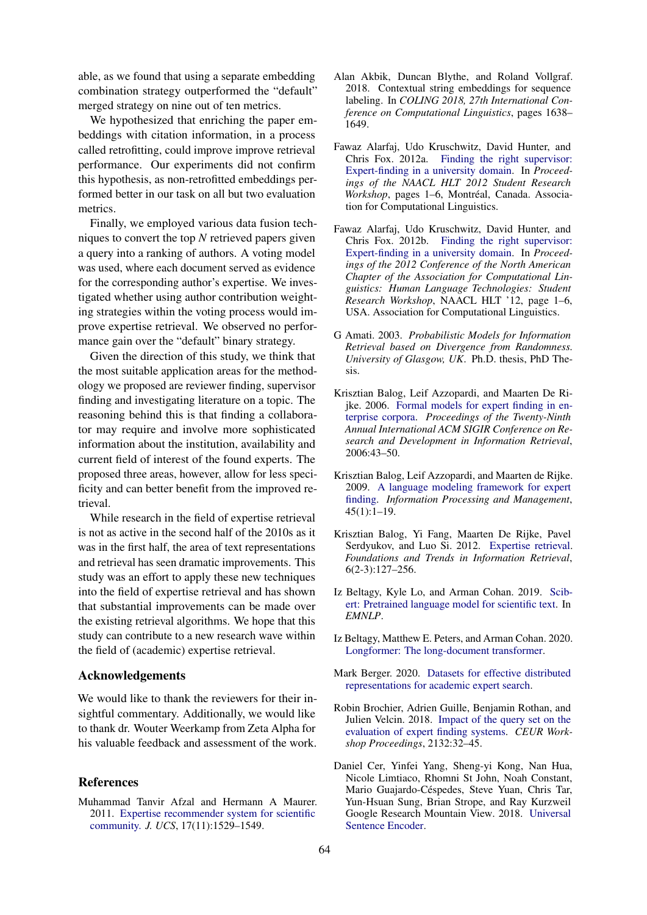able, as we found that using a separate embedding combination strategy outperformed the "default" merged strategy on nine out of ten metrics.

We hypothesized that enriching the paper embeddings with citation information, in a process called retrofitting, could improve improve retrieval performance. Our experiments did not confirm this hypothesis, as non-retrofitted embeddings performed better in our task on all but two evaluation metrics.

Finally, we employed various data fusion techniques to convert the top *N* retrieved papers given a query into a ranking of authors. A voting model was used, where each document served as evidence for the corresponding author's expertise. We investigated whether using author contribution weighting strategies within the voting process would improve expertise retrieval. We observed no performance gain over the "default" binary strategy.

Given the direction of this study, we think that the most suitable application areas for the methodology we proposed are reviewer finding, supervisor finding and investigating literature on a topic. The reasoning behind this is that finding a collaborator may require and involve more sophisticated information about the institution, availability and current field of interest of the found experts. The proposed three areas, however, allow for less specificity and can better benefit from the improved retrieval.

While research in the field of expertise retrieval is not as active in the second half of the 2010s as it was in the first half, the area of text representations and retrieval has seen dramatic improvements. This study was an effort to apply these new techniques into the field of expertise retrieval and has shown that substantial improvements can be made over the existing retrieval algorithms. We hope that this study can contribute to a new research wave within the field of (academic) expertise retrieval.

#### Acknowledgements

We would like to thank the reviewers for their insightful commentary. Additionally, we would like to thank dr. Wouter Weerkamp from Zeta Alpha for his valuable feedback and assessment of the work.

### References

<span id="page-8-8"></span>Muhammad Tanvir Afzal and Hermann A Maurer. 2011. [Expertise recommender system for scientific](https://doi.org/10.3217/jucs-017-11-1529) [community.](https://doi.org/10.3217/jucs-017-11-1529) *J. UCS*, 17(11):1529–1549.

- <span id="page-8-7"></span>Alan Akbik, Duncan Blythe, and Roland Vollgraf. 2018. Contextual string embeddings for sequence labeling. In *COLING 2018, 27th International Conference on Computational Linguistics*, pages 1638– 1649.
- <span id="page-8-0"></span>Fawaz Alarfaj, Udo Kruschwitz, David Hunter, and Chris Fox. 2012a. [Finding the right supervisor:](https://www.aclweb.org/anthology/N12-2001) [Expert-finding in a university domain.](https://www.aclweb.org/anthology/N12-2001) In *Proceedings of the NAACL HLT 2012 Student Research Workshop*, pages 1–6, Montréal, Canada. Association for Computational Linguistics.
- <span id="page-8-9"></span>Fawaz Alarfaj, Udo Kruschwitz, David Hunter, and Chris Fox. 2012b. [Finding the right supervisor:](https://www.aclweb.org/anthology/N12-2001) [Expert-finding in a university domain.](https://www.aclweb.org/anthology/N12-2001) In *Proceedings of the 2012 Conference of the North American Chapter of the Association for Computational Linguistics: Human Language Technologies: Student Research Workshop*, NAACL HLT '12, page 1–6, USA. Association for Computational Linguistics.
- <span id="page-8-10"></span>G Amati. 2003. *Probabilistic Models for Information Retrieval based on Divergence from Randomness. University of Glasgow, UK*. Ph.D. thesis, PhD Thesis.
- <span id="page-8-2"></span>Krisztian Balog, Leif Azzopardi, and Maarten De Rijke. 2006. [Formal models for expert finding in en](https://doi.org/10.1145/1148170.1148181)[terprise corpora.](https://doi.org/10.1145/1148170.1148181) *Proceedings of the Twenty-Ninth Annual International ACM SIGIR Conference on Research and Development in Information Retrieval*, 2006:43–50.
- <span id="page-8-1"></span>Krisztian Balog, Leif Azzopardi, and Maarten de Rijke. 2009. [A language modeling framework for expert](https://doi.org/10.1016/j.ipm.2008.06.003) [finding.](https://doi.org/10.1016/j.ipm.2008.06.003) *Information Processing and Management*, 45(1):1–19.
- <span id="page-8-4"></span>Krisztian Balog, Yi Fang, Maarten De Rijke, Pavel Serdyukov, and Luo Si. 2012. [Expertise retrieval.](https://doi.org/10.1561/1500000024) *Foundations and Trends in Information Retrieval*, 6(2-3):127–256.
- <span id="page-8-12"></span>Iz Beltagy, Kyle Lo, and Arman Cohan. 2019. [Scib](https://www.aclweb.org/anthology/D19-1371.pdf)[ert: Pretrained language model for scientific text.](https://www.aclweb.org/anthology/D19-1371.pdf) In *EMNLP*.
- <span id="page-8-5"></span>Iz Beltagy, Matthew E. Peters, and Arman Cohan. 2020. [Longformer: The long-document transformer.](http://arxiv.org/abs/2004.05150)
- <span id="page-8-3"></span>Mark Berger. 2020. [Datasets for effective distributed](https://doi.org/10.5281/ZENODO.4075166) [representations for academic expert search.](https://doi.org/10.5281/ZENODO.4075166)
- <span id="page-8-11"></span>Robin Brochier, Adrien Guille, Benjamin Rothan, and Julien Velcin. 2018. [Impact of the query set on the](http://arxiv.org/abs/1806.10813) [evaluation of expert finding systems.](http://arxiv.org/abs/1806.10813) *CEUR Workshop Proceedings*, 2132:32–45.
- <span id="page-8-6"></span>Daniel Cer, Yinfei Yang, Sheng-yi Kong, Nan Hua, Nicole Limtiaco, Rhomni St John, Noah Constant, Mario Guajardo-Céspedes, Steve Yuan, Chris Tar, Yun-Hsuan Sung, Brian Strope, and Ray Kurzweil Google Research Mountain View. 2018. [Universal](http://arxiv.org/abs/1803.11175v2) [Sentence Encoder.](http://arxiv.org/abs/1803.11175v2)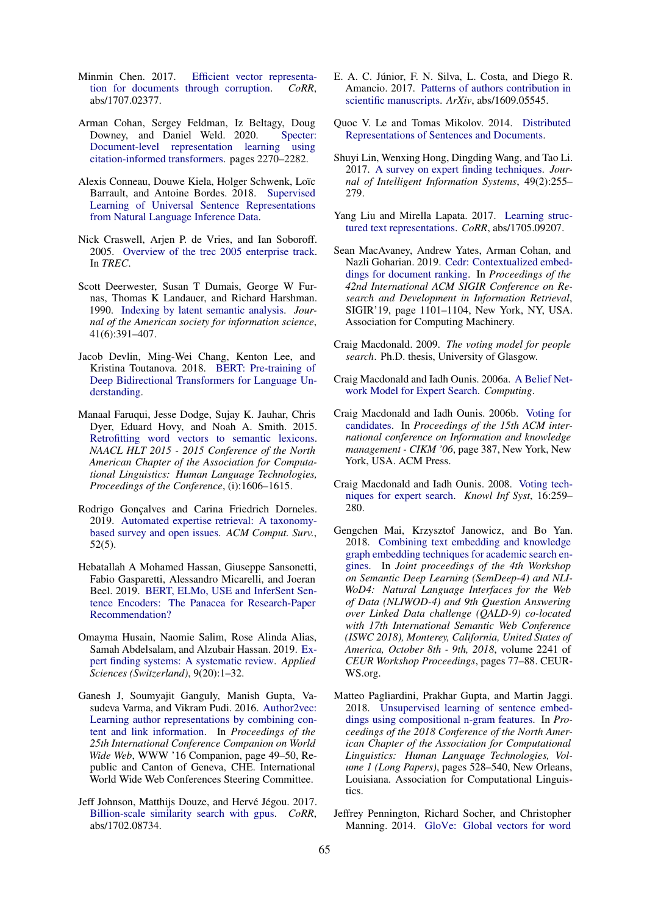- <span id="page-9-12"></span>Minmin Chen. 2017. [Efficient vector representa](http://arxiv.org/abs/1707.02377)[tion for documents through corruption.](http://arxiv.org/abs/1707.02377) *CoRR*, abs/1707.02377.
- <span id="page-9-23"></span>Arman Cohan, Sergey Feldman, Iz Beltagy, Doug Downey, and Daniel Weld. 2020. [Specter:](https://doi.org/10.18653/v1/2020.acl-main.207) [Document-level representation learning using](https://doi.org/10.18653/v1/2020.acl-main.207) [citation-informed transformers.](https://doi.org/10.18653/v1/2020.acl-main.207) pages 2270–2282.
- <span id="page-9-13"></span>Alexis Conneau, Douwe Kiela, Holger Schwenk, Loïc Barrault, and Antoine Bordes. 2018. [Supervised](http://arxiv.org/abs/1705.02364v5) [Learning of Universal Sentence Representations](http://arxiv.org/abs/1705.02364v5) [from Natural Language Inference Data.](http://arxiv.org/abs/1705.02364v5)
- <span id="page-9-5"></span>Nick Craswell, Arjen P. de Vries, and Ian Soboroff. 2005. [Overview of the trec 2005 enterprise track.](https://trec.nist.gov/pubs/trec14/papers/old.overviews/ENTERPRISE.OVERVIEW.pdf) In *TREC*.
- <span id="page-9-20"></span>Scott Deerwester, Susan T Dumais, George W Furnas, Thomas K Landauer, and Richard Harshman. 1990. [Indexing by latent semantic analysis.](https://doi.org/https://doi.org/10.1002/(SICI)1097-4571(199009)41:6%3C391::AID-ASI1%3E3.0.CO;2-9) *Journal of the American society for information science*, 41(6):391–407.
- <span id="page-9-2"></span>Jacob Devlin, Ming-Wei Chang, Kenton Lee, and Kristina Toutanova. 2018. [BERT: Pre-training of](http://arxiv.org/abs/1810.04805) [Deep Bidirectional Transformers for Language Un](http://arxiv.org/abs/1810.04805)[derstanding.](http://arxiv.org/abs/1810.04805)
- <span id="page-9-4"></span>Manaal Faruqui, Jesse Dodge, Sujay K. Jauhar, Chris Dyer, Eduard Hovy, and Noah A. Smith. 2015. [Retrofitting word vectors to semantic lexicons.](https://doi.org/10.3115/v1/n15-1184) *NAACL HLT 2015 - 2015 Conference of the North American Chapter of the Association for Computational Linguistics: Human Language Technologies, Proceedings of the Conference*, (i):1606–1615.
- <span id="page-9-0"></span>Rodrigo Goncalves and Carina Friedrich Dorneles. 2019. [Automated expertise retrieval: A taxonomy](https://doi.org/10.1145/3331000)[based survey and open issues.](https://doi.org/10.1145/3331000) *ACM Comput. Surv.*, 52(5).
- <span id="page-9-14"></span>Hebatallah A Mohamed Hassan, Giuseppe Sansonetti, Fabio Gasparetti, Alessandro Micarelli, and Joeran Beel. 2019. [BERT, ELMo, USE and InferSent Sen](https://tfhub.dev/google/universal-sentence-)[tence Encoders: The Panacea for Research-Paper](https://tfhub.dev/google/universal-sentence-) [Recommendation?](https://tfhub.dev/google/universal-sentence-)
- <span id="page-9-1"></span>Omayma Husain, Naomie Salim, Rose Alinda Alias, Samah Abdelsalam, and Alzubair Hassan. 2019. [Ex](https://doi.org/10.3390/app9204250)[pert finding systems: A systematic review.](https://doi.org/10.3390/app9204250) *Applied Sciences (Switzerland)*, 9(20):1–32.
- <span id="page-9-18"></span>Ganesh J, Soumyajit Ganguly, Manish Gupta, Vasudeva Varma, and Vikram Pudi. 2016. [Author2vec:](https://doi.org/10.1145/2872518.2889382) [Learning author representations by combining con](https://doi.org/10.1145/2872518.2889382)[tent and link information.](https://doi.org/10.1145/2872518.2889382) In *Proceedings of the 25th International Conference Companion on World Wide Web*, WWW '16 Companion, page 49–50, Republic and Canton of Geneva, CHE. International World Wide Web Conferences Steering Committee.
- <span id="page-9-21"></span>Jeff Johnson, Matthijs Douze, and Hervé Jégou. 2017. [Billion-scale similarity search with gpus.](http://arxiv.org/abs/1702.08734) *CoRR*, abs/1702.08734.
- <span id="page-9-22"></span>E. A. C. Júnior, F. N. Silva, L. Costa, and Diego R. Amancio. 2017. [Patterns of authors contribution in](https://doi.org/10.1016/j.joi.2017.03.003) [scientific manuscripts.](https://doi.org/10.1016/j.joi.2017.03.003) *ArXiv*, abs/1609.05545.
- <span id="page-9-19"></span>Quoc V. Le and Tomas Mikolov. 2014. [Distributed](http://arxiv.org/abs/1405.4053) [Representations of Sentences and Documents.](http://arxiv.org/abs/1405.4053)
- <span id="page-9-17"></span>Shuyi Lin, Wenxing Hong, Dingding Wang, and Tao Li. 2017. [A survey on expert finding techniques.](https://doi.org/10.1007/s10844-016-0440-5) *Journal of Intelligent Information Systems*, 49(2):255– 279.
- <span id="page-9-10"></span>Yang Liu and Mirella Lapata. 2017. [Learning struc](http://arxiv.org/abs/1705.09207)[tured text representations.](http://arxiv.org/abs/1705.09207) *CoRR*, abs/1705.09207.
- <span id="page-9-15"></span>Sean MacAvaney, Andrew Yates, Arman Cohan, and Nazli Goharian. 2019. [Cedr: Contextualized embed](https://doi.org/10.1145/3331184.3331317)[dings for document ranking.](https://doi.org/10.1145/3331184.3331317) In *Proceedings of the 42nd International ACM SIGIR Conference on Research and Development in Information Retrieval*, SIGIR'19, page 1101–1104, New York, NY, USA. Association for Computing Machinery.
- <span id="page-9-6"></span>Craig Macdonald. 2009. *The voting model for people search*. Ph.D. thesis, University of Glasgow.
- <span id="page-9-9"></span>Craig Macdonald and Iadh Ounis. 2006a. [A Belief Net](http://www.dcs.gla.ac.uk/~craigm/publications/macdonald07networks.pdf)[work Model for Expert Search.](http://www.dcs.gla.ac.uk/~craigm/publications/macdonald07networks.pdf) *Computing*.
- <span id="page-9-8"></span>Craig Macdonald and Iadh Ounis. 2006b. [Voting for](https://doi.org/10.1145/1183614.1183671) [candidates.](https://doi.org/10.1145/1183614.1183671) In *Proceedings of the 15th ACM international conference on Information and knowledge management - CIKM '06*, page 387, New York, New York, USA. ACM Press.
- <span id="page-9-7"></span>Craig Macdonald and Iadh Ounis. 2008. [Voting tech](https://doi.org/10.1007/s10115-007-0105-3)[niques for expert search.](https://doi.org/10.1007/s10115-007-0105-3) *Knowl Inf Syst*, 16:259– 280.
- <span id="page-9-16"></span>Gengchen Mai, Krzysztof Janowicz, and Bo Yan. 2018. [Combining text embedding and knowledge](http://ceur-ws.org/Vol-2241/paper-08.pdf) [graph embedding techniques for academic search en](http://ceur-ws.org/Vol-2241/paper-08.pdf)[gines.](http://ceur-ws.org/Vol-2241/paper-08.pdf) In *Joint proceedings of the 4th Workshop on Semantic Deep Learning (SemDeep-4) and NLI-WoD4: Natural Language Interfaces for the Web of Data (NLIWOD-4) and 9th Question Answering over Linked Data challenge (QALD-9) co-located with 17th International Semantic Web Conference (ISWC 2018), Monterey, California, United States of America, October 8th - 9th, 2018*, volume 2241 of *CEUR Workshop Proceedings*, pages 77–88. CEUR-WS.org.
- <span id="page-9-11"></span>Matteo Pagliardini, Prakhar Gupta, and Martin Jaggi. 2018. [Unsupervised learning of sentence embed](https://doi.org/10.18653/v1/N18-1049)[dings using compositional n-gram features.](https://doi.org/10.18653/v1/N18-1049) In *Proceedings of the 2018 Conference of the North American Chapter of the Association for Computational Linguistics: Human Language Technologies, Volume 1 (Long Papers)*, pages 528–540, New Orleans, Louisiana. Association for Computational Linguistics.
- <span id="page-9-3"></span>Jeffrey Pennington, Richard Socher, and Christopher Manning. 2014. [GloVe: Global vectors for word](https://doi.org/10.3115/v1/D14-1162)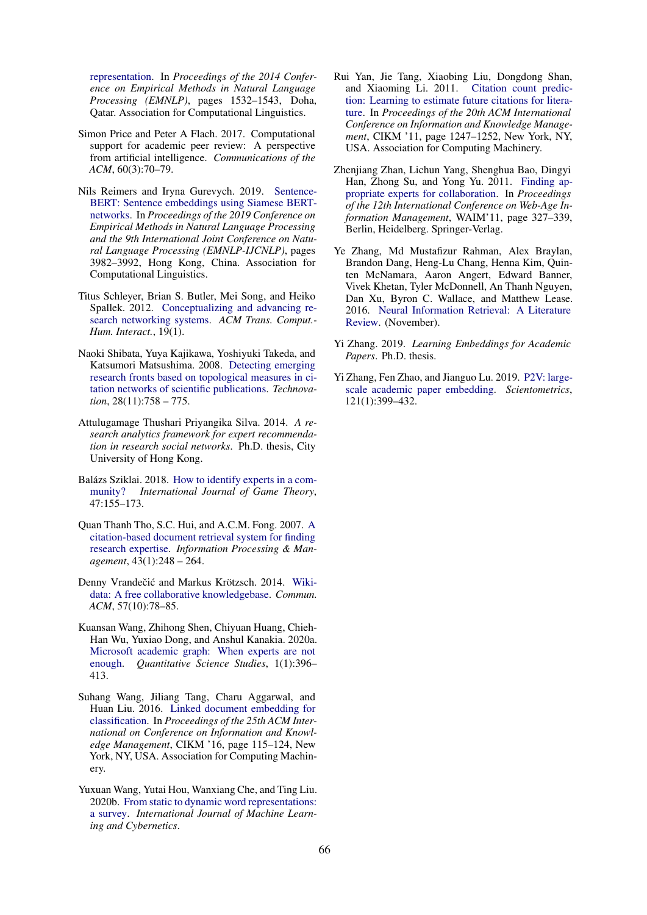[representation.](https://doi.org/10.3115/v1/D14-1162) In *Proceedings of the 2014 Conference on Empirical Methods in Natural Language Processing (EMNLP)*, pages 1532–1543, Doha, Qatar. Association for Computational Linguistics.

- <span id="page-10-4"></span>Simon Price and Peter A Flach. 2017. Computational support for academic peer review: A perspective from artificial intelligence. *Communications of the ACM*, 60(3):70–79.
- <span id="page-10-6"></span>Nils Reimers and Iryna Gurevych. 2019. [Sentence-](https://doi.org/10.18653/v1/D19-1410)[BERT: Sentence embeddings using Siamese BERT](https://doi.org/10.18653/v1/D19-1410)[networks.](https://doi.org/10.18653/v1/D19-1410) In *Proceedings of the 2019 Conference on Empirical Methods in Natural Language Processing and the 9th International Joint Conference on Natural Language Processing (EMNLP-IJCNLP)*, pages 3982–3992, Hong Kong, China. Association for Computational Linguistics.
- <span id="page-10-1"></span>Titus Schleyer, Brian S. Butler, Mei Song, and Heiko Spallek. 2012. [Conceptualizing and advancing re](https://doi.org/10.1145/2147783.2147785)[search networking systems.](https://doi.org/10.1145/2147783.2147785) *ACM Trans. Comput.- Hum. Interact.*, 19(1).
- <span id="page-10-12"></span>Naoki Shibata, Yuya Kajikawa, Yoshiyuki Takeda, and Katsumori Matsushima. 2008. [Detecting emerging](https://doi.org/https://doi.org/10.1016/j.technovation.2008.03.009) [research fronts based on topological measures in ci](https://doi.org/https://doi.org/10.1016/j.technovation.2008.03.009)[tation networks of scientific publications.](https://doi.org/https://doi.org/10.1016/j.technovation.2008.03.009) *Technovation*, 28(11):758 – 775.
- <span id="page-10-3"></span>Attulugamage Thushari Priyangika Silva. 2014. *A research analytics framework for expert recommendation in research social networks*. Ph.D. thesis, City University of Hong Kong.
- <span id="page-10-2"></span>Balázs Sziklai. 2018. [How to identify experts in a com](https://doi.org/10.1007/s00182-017-0582-x)[munity?](https://doi.org/10.1007/s00182-017-0582-x) *International Journal of Game Theory*, 47:155–173.
- <span id="page-10-11"></span>Quan Thanh Tho, S.C. Hui, and A.C.M. Fong. 2007. [A](https://doi.org/https://doi.org/10.1016/j.ipm.2006.05.015) [citation-based document retrieval system for finding](https://doi.org/https://doi.org/10.1016/j.ipm.2006.05.015) [research expertise.](https://doi.org/https://doi.org/10.1016/j.ipm.2006.05.015) *Information Processing & Management*, 43(1):248 – 264.
- <span id="page-10-15"></span>Denny Vrandečić and Markus Krötzsch. 2014. [Wiki](https://doi.org/10.1145/2629489)[data: A free collaborative knowledgebase.](https://doi.org/10.1145/2629489) *Commun. ACM*, 57(10):78–85.
- <span id="page-10-13"></span>Kuansan Wang, Zhihong Shen, Chiyuan Huang, Chieh-Han Wu, Yuxiao Dong, and Anshul Kanakia. 2020a. [Microsoft academic graph: When experts are not](https://doi.org/https://doi.org/10.1162/qss_a_00021) [enough.](https://doi.org/https://doi.org/10.1162/qss_a_00021) *Quantitative Science Studies*, 1(1):396– 413.
- <span id="page-10-9"></span>Suhang Wang, Jiliang Tang, Charu Aggarwal, and Huan Liu. 2016. [Linked document embedding for](https://doi.org/10.1145/2983323.2983755) [classification.](https://doi.org/10.1145/2983323.2983755) In *Proceedings of the 25th ACM International on Conference on Information and Knowledge Management*, CIKM '16, page 115–124, New York, NY, USA. Association for Computing Machinery.
- <span id="page-10-5"></span>Yuxuan Wang, Yutai Hou, Wanxiang Che, and Ting Liu. 2020b. [From static to dynamic word representations:](https://doi.org/10.1007/s13042-020-01069-8) [a survey.](https://doi.org/10.1007/s13042-020-01069-8) *International Journal of Machine Learning and Cybernetics*.
- <span id="page-10-14"></span>Rui Yan, Jie Tang, Xiaobing Liu, Dongdong Shan, and Xiaoming Li. 2011. [Citation count predic](https://doi.org/10.1145/2063576.2063757)[tion: Learning to estimate future citations for litera](https://doi.org/10.1145/2063576.2063757)[ture.](https://doi.org/10.1145/2063576.2063757) In *Proceedings of the 20th ACM International Conference on Information and Knowledge Management*, CIKM '11, page 1247–1252, New York, NY, USA. Association for Computing Machinery.
- <span id="page-10-0"></span>Zhenjiang Zhan, Lichun Yang, Shenghua Bao, Dingyi Han, Zhong Su, and Yong Yu. 2011. [Finding ap](https://doi.org/10.1007/978-3-642-23535-1_29)[propriate experts for collaboration.](https://doi.org/10.1007/978-3-642-23535-1_29) In *Proceedings of the 12th International Conference on Web-Age Information Management*, WAIM'11, page 327–339, Berlin, Heidelberg. Springer-Verlag.
- <span id="page-10-8"></span>Ye Zhang, Md Mustafizur Rahman, Alex Braylan, Brandon Dang, Heng-Lu Chang, Henna Kim, Quinten McNamara, Aaron Angert, Edward Banner, Vivek Khetan, Tyler McDonnell, An Thanh Nguyen, Dan Xu, Byron C. Wallace, and Matthew Lease. 2016. [Neural Information Retrieval: A Literature](http://arxiv.org/abs/1611.06792) [Review.](http://arxiv.org/abs/1611.06792) (November).
- <span id="page-10-7"></span>Yi Zhang. 2019. *Learning Embeddings for Academic Papers*. Ph.D. thesis.
- <span id="page-10-10"></span>Yi Zhang, Fen Zhao, and Jianguo Lu. 2019. [P2V: large](https://doi.org/10.1007/s11192-019-03206-9)[scale academic paper embedding.](https://doi.org/10.1007/s11192-019-03206-9) *Scientometrics*, 121(1):399–432.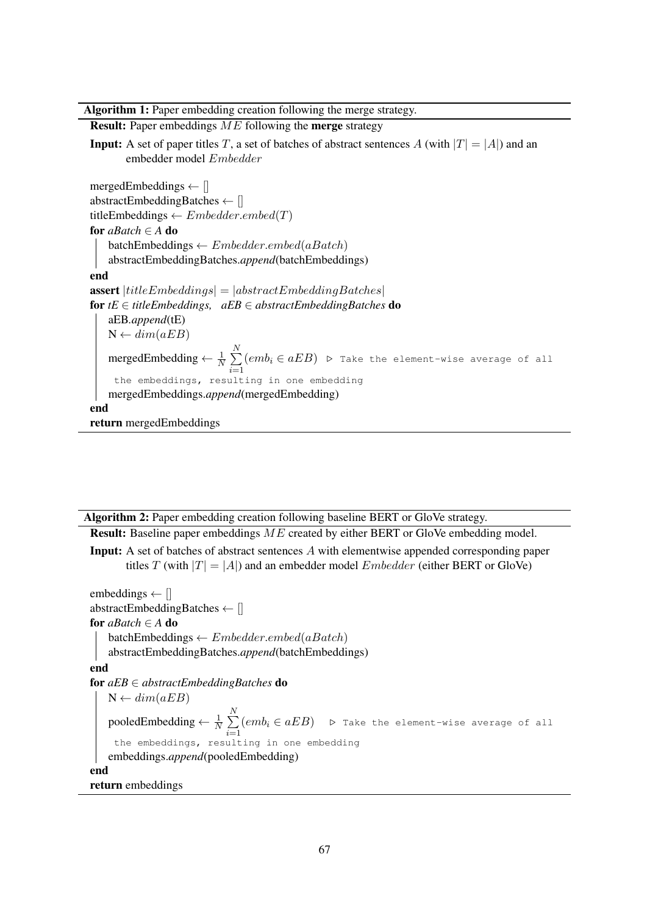Algorithm 1: Paper embedding creation following the merge strategy.

Result: Paper embeddings ME following the merge strategy **Input:** A set of paper titles T, a set of batches of abstract sentences A (with  $|T| = |A|$ ) and an embedder model Embedder mergedEmbeddings  $\leftarrow$  [] abstractEmbeddingBatches ← [] titleEmbeddings  $\leftarrow Embedder.embed(T)$ for *aBatch* ∈ *A* do  $batchEmbeddings \leftarrow Embedder.embed(aBatch)$ abstractEmbeddingBatches.*append*(batchEmbeddings) end **assert**  $|titleEmbeddings| = |abstractEmbeddingBatches|$ for *tE* ∈ *titleEmbeddings, aEB* ∈ *abstractEmbeddingBatches* do aEB*.append*(tE)  $N \leftarrow dim(aEB)$ mergedEmbedding  $\leftarrow \frac{1}{N} \sum_{n=1}^{N}$  $\frac{i=1}{i}$  $(\mathit{emb}_i \in \mathit{aEB})$   $\mathrel{\triangleright}$  Take the element-wise average of all the embeddings, resulting in one embedding mergedEmbeddings.*append*(mergedEmbedding) end return mergedEmbeddings

<span id="page-11-0"></span>Algorithm 2: Paper embedding creation following baseline BERT or GloVe strategy.

Result: Baseline paper embeddings ME created by either BERT or GloVe embedding model.

Input: A set of batches of abstract sentences A with elementwise appended corresponding paper titles T (with  $|T| = |A|$ ) and an embedder model *Embedder* (either BERT or GloVe)

<span id="page-11-1"></span>embeddings  $\leftarrow$  [] abstractEmbeddingBatches ← [] for *aBatch* ∈ *A* do batchEmbeddings  $\leftarrow Embedder.embed(aBatch)$ abstractEmbeddingBatches.*append*(batchEmbeddings) end for *aEB* ∈ *abstractEmbeddingBatches* do  $N \leftarrow dim(aEB)$ pooledEmbedding  $\leftarrow \frac{1}{N} \sum_{n=1}^{N}$  $i=1$  $(emb_i \in aEB)$  .  $\triangleright$  Take the element-wise average of all the embeddings, resulting in one embedding embeddings.*append*(pooledEmbedding) end return embeddings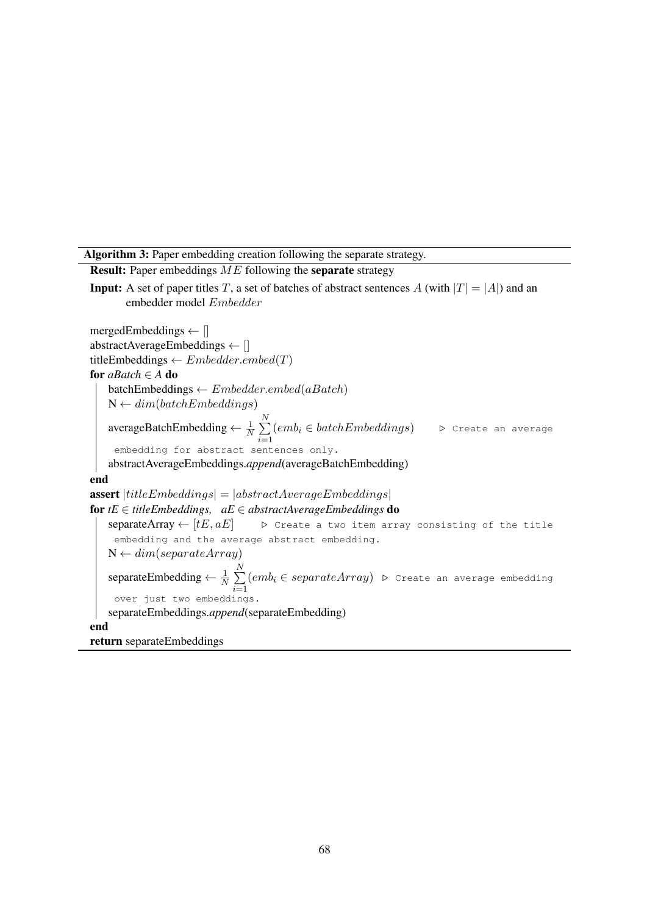Algorithm 3: Paper embedding creation following the separate strategy.

Result: Paper embeddings ME following the separate strategy **Input:** A set of paper titles T, a set of batches of abstract sentences A (with  $|T| = |A|$ ) and an embedder model Embedder mergedEmbeddings  $\leftarrow$  [] abstractAverageEmbeddings ← [] titleEmbeddings  $\leftarrow Embedder.embed(T)$ for *aBatch* ∈ *A* do  $batchEmbeddings \leftarrow Embedder.embed(aBatch)$  $N \leftarrow dim(batchEmbeddings)$ averageBatchEmbedding  $\leftarrow \frac{1}{N} \sum_{n=1}^{N}$  $i=1$  $(emb_i \in batchEmbeddings)$  .  $\triangleright$  Create an average embedding for abstract sentences only. abstractAverageEmbeddings.*append*(averageBatchEmbedding) end **assert**  $|titleEmbeddings| = |abstractAverageEmbeddings|$ for  $tE \in titleEmbeddings$ ,  $aE \in abstractAverageEmbeddings$  do separateArray ←  $[tE, aE]$  . Create a two item array consisting of the title embedding and the average abstract embedding.  $N \leftarrow dim(separateArray)$ separateEmbedding  $\leftarrow \frac{1}{N} \sum_{n=1}^{N}$  $i=1$  $(emb_i \in separateArray)$   $\triangleright$  Create an average embedding over just two embeddings. separateEmbeddings.*append*(separateEmbedding) end

<span id="page-12-0"></span>return separateEmbeddings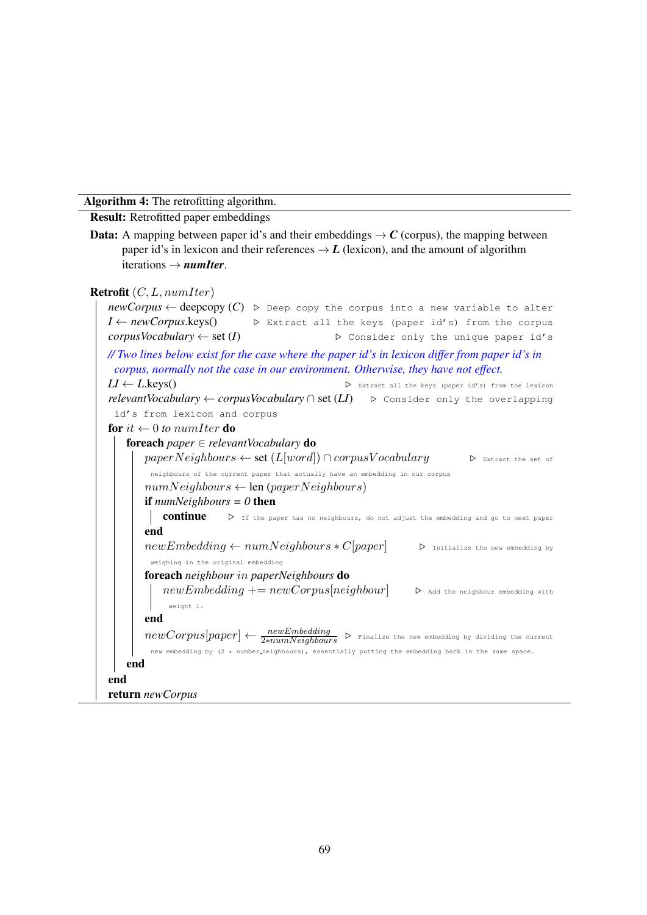Algorithm 4: The retrofitting algorithm.

Result: Retrofitted paper embeddings

**Data:** A mapping between paper id's and their embeddings  $\rightarrow$  C (corpus), the mapping between paper id's in lexicon and their references  $\rightarrow$  *L* (lexicon), and the amount of algorithm iterations → *numIter*.

```
Retrofit (C, L, numIter)newCorpus \leftarrow deepcopy (C) \triangleright Deep copy the corpus into a new variable to alter
 I ← newCorpus.keys() \triangleright Extract all the keys (paper id's) from the corpus
 corpusVocabulary \leftarrow set (I) . Consider only the unique paper id's
// Two lines below exist for the case where the paper id's in lexicon differ from paper id's in
  corpus, normally not the case in our environment. Otherwise, they have not effect.
 LI \leftarrow L.\text{keys}() . Extract all the keys (paper id's) from the lexicon
 relevantVocabulary ← corpusVocabulary \cap set (LI) . Consider only the overlapping
  id's from lexicon and corpus
 for it \leftarrow 0 to numIter do
    foreach paper ∈ relevantVocabulary do
         paperNeighbors \leftarrow set (L[word]) \cap corpusVocabulary \triangleright Extract the set of
          neighbours of the current paper that actually have an embedding in our corpus
         numNeighbors \leftarrow len (paperNeighbors)if numNeighbours = 0 then
          continue \triangleright If the paper has no neighbours, do not adjust the embedding and go to next paper
         end
         newEmbedding \leftarrow numNeighbors * C[paper] \rightarrow \text{Initialize the new embedding by}weighing in the original embedding
         foreach neighbour in paperNeighbours do
            newEmbedding += new Corpus[neighbor] \triangleright Add the neighbour embedding with
              weight 1.
         end
         newCorpus[paper] \leftarrow \frac{newEmbedding}{2*numNeighbors} \triangleright Finalize the new embedding by dividing the current
          new embedding by (2 * number neighbours), essentially putting the embedding back in the same space.
    end
 end
 return newCorpus
```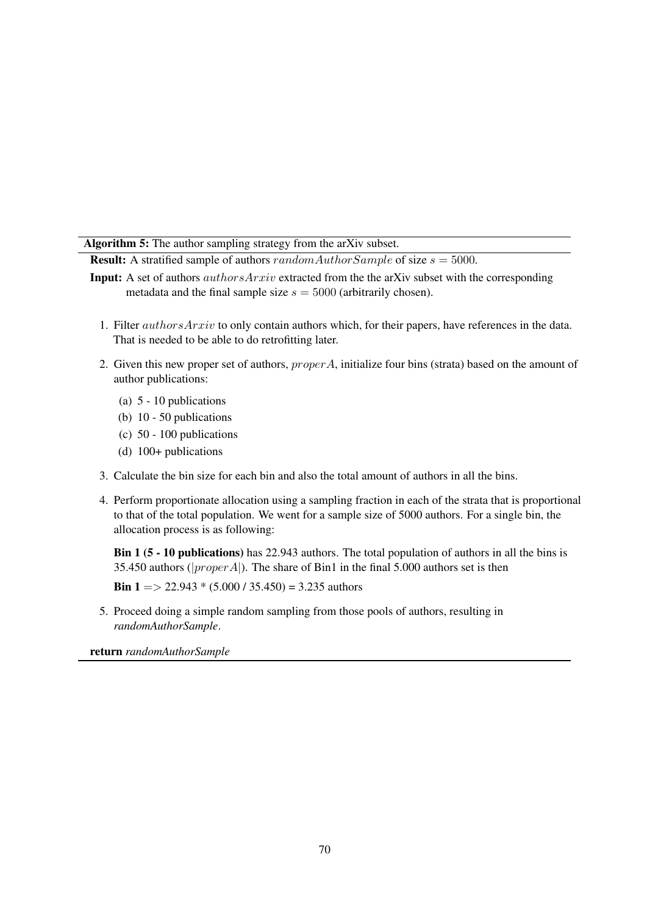Algorithm 5: The author sampling strategy from the arXiv subset.

**Result:** A stratified sample of authors  $randomAuthorSample$  of size  $s = 5000$ .

- Input: A set of authors authorsArxiv extracted from the the arXiv subset with the corresponding metadata and the final sample size  $s = 5000$  (arbitrarily chosen).
	- 1. Filter authorsArxiv to only contain authors which, for their papers, have references in the data. That is needed to be able to do retrofitting later.
	- 2. Given this new proper set of authors,  $proper A$ , initialize four bins (strata) based on the amount of author publications:
		- (a) 5 10 publications
		- (b) 10 50 publications
		- (c) 50 100 publications
		- (d) 100+ publications
	- 3. Calculate the bin size for each bin and also the total amount of authors in all the bins.
	- 4. Perform proportionate allocation using a sampling fraction in each of the strata that is proportional to that of the total population. We went for a sample size of 5000 authors. For a single bin, the allocation process is as following:

Bin 1 (5 - 10 publications) has 22.943 authors. The total population of authors in all the bins is 35.450 authors ( $|proper A|$ ). The share of Bin1 in the final 5.000 authors set is then

**Bin 1** = > 22.943  $*(5.000 / 35.450) = 3.235$  authors

5. Proceed doing a simple random sampling from those pools of authors, resulting in *randomAuthorSample*.

<span id="page-14-0"></span>return *randomAuthorSample*